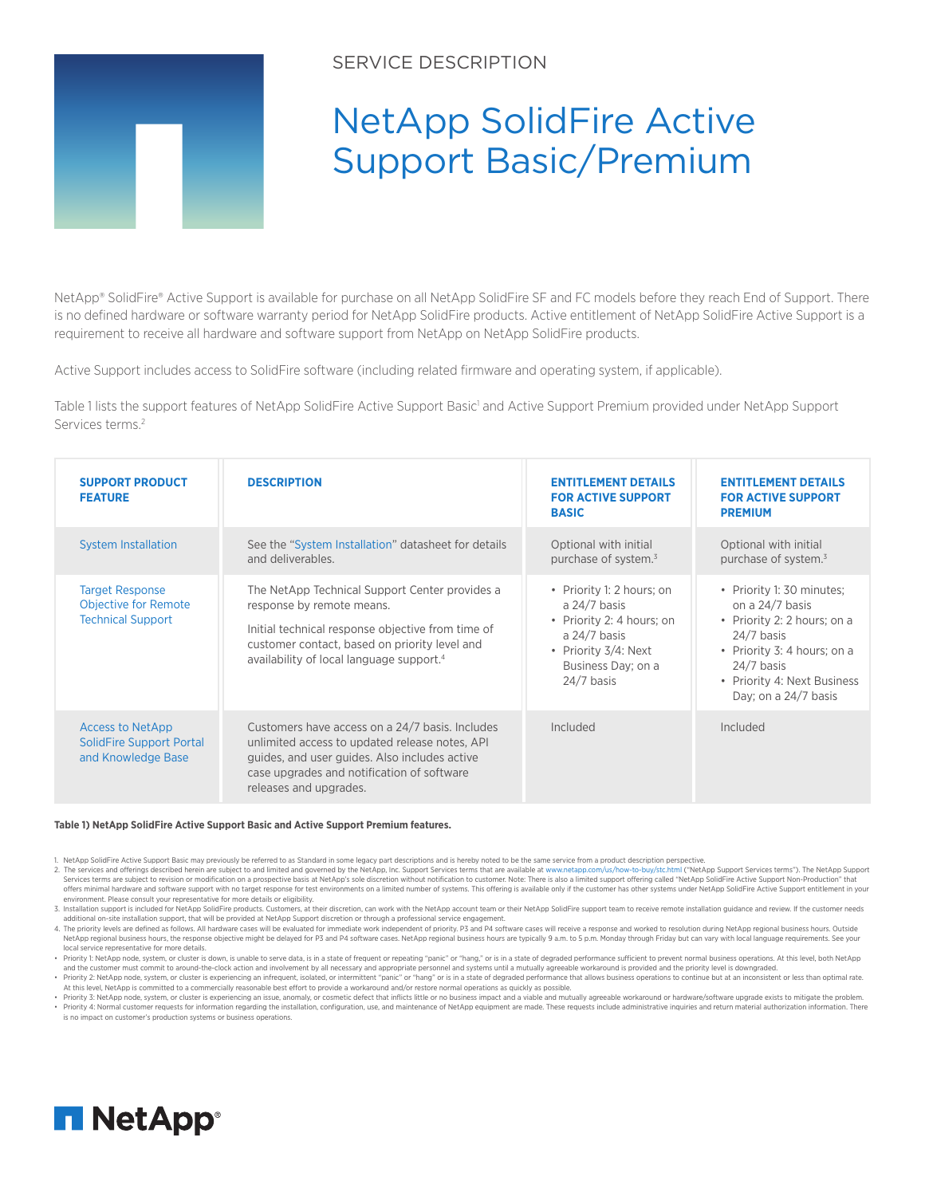

## SERVICE DESCRIPTION

## NetApp SolidFire Active Support Basic/Premium

NetApp® SolidFire® Active Support is available for purchase on all NetApp SolidFire SF and FC models before they reach End of Support. There is no defined hardware or software warranty period for NetApp SolidFire products. Active entitlement of NetApp SolidFire Active Support is a requirement to receive all hardware and software support from NetApp on NetApp SolidFire products.

Active Support includes access to SolidFire software (including related firmware and operating system, if applicable).

Table 1 lists the support features of NetApp SolidFire Active Support Basic<sup>1</sup> and Active Support Premium provided under NetApp Support Services terms.<sup>2</sup>

| <b>SUPPORT PRODUCT</b><br><b>FEATURE</b>                                          | <b>DESCRIPTION</b>                                                                                                                                                                                                                        | <b>ENTITLEMENT DETAILS</b><br><b>FOR ACTIVE SUPPORT</b><br><b>BASIC</b>                                                                                  | <b>ENTITLEMENT DETAILS</b><br><b>FOR ACTIVE SUPPORT</b><br><b>PREMIUM</b>                                                                                                                         |
|-----------------------------------------------------------------------------------|-------------------------------------------------------------------------------------------------------------------------------------------------------------------------------------------------------------------------------------------|----------------------------------------------------------------------------------------------------------------------------------------------------------|---------------------------------------------------------------------------------------------------------------------------------------------------------------------------------------------------|
| <b>System Installation</b>                                                        | See the "System Installation" datasheet for details<br>and deliverables.                                                                                                                                                                  | Optional with initial<br>purchase of system. <sup>3</sup>                                                                                                | Optional with initial<br>purchase of system. <sup>3</sup>                                                                                                                                         |
| <b>Target Response</b><br><b>Objective for Remote</b><br><b>Technical Support</b> | The NetApp Technical Support Center provides a<br>response by remote means.<br>Initial technical response objective from time of<br>customer contact, based on priority level and<br>availability of local language support. <sup>4</sup> | • Priority 1: 2 hours; on<br>a $24/7$ basis<br>• Priority 2: 4 hours; on<br>a $24/7$ basis<br>• Priority 3/4: Next<br>Business Day; on a<br>$24/7$ basis | • Priority 1: 30 minutes;<br>on a 24/7 basis<br>• Priority 2: 2 hours; on a<br>$24/7$ basis<br>• Priority 3: 4 hours; on a<br>$24/7$ basis<br>• Priority 4: Next Business<br>Day; on a 24/7 basis |
| <b>Access to NetApp</b><br><b>SolidFire Support Portal</b><br>and Knowledge Base  | Customers have access on a 24/7 basis. Includes<br>unlimited access to updated release notes, API<br>guides, and user guides. Also includes active<br>case upgrades and notification of software<br>releases and upgrades.                | Included                                                                                                                                                 | Included                                                                                                                                                                                          |

## **Table 1) NetApp SolidFire Active Support Basic and Active Support Premium features.**

1. NetApp SolidFire Active Support Basic may previously be referred to as Standard in some legacy part descriptions and is hereby noted to be the same service from a product description perspective.<br>2. The services and off Services terms are subject to revision or modification on a prospective basis at NetApp's sole discretion without notification to customer. Note: There is also a limited support offering called "NetApp SolidFire Active Sup offers minimal hardware and software support with no target response for test environments on a limited number of systems. This offering is available only if the customer has other systems under NetApp SolidFire Active Sup environment. Please consult your representative for more details or eligibility.

Construction included for NetApp SolidFire products. Customers, at their discretion, can work with the NetApp account team or their NetApp SolidFire support team to receive remote installation guidance and review. If the c

additional on-site installation support, that will be provided at NetApp Support discretion or through a professional service engagement.<br>4. The priority levels are defined as follows. All hardware cases will be evaluated NetApp regional business hours, the response objective might be delayed for P3 and P4 software cases. NetApp regional business hours are typically 9 a.m. to 5 p.m. Monday through Friday but can vary with local language req ocal service representative for more details

. Priority 1: NetApp node, system, or cluster is down, is unable to serve data, is in a state of frequent or repeating "panic" or "hang," or is in a state of degraded performance sufficient to prevent normal business opera and the customer must commit to around-the-clock action and involvement by all necessary and appropriate personnel and systems until a mutually agreeable workaround is provided and the priority level is downgraded.

. Priority 2: NetApp node, system, or cluster is experiencing an infrequent, isolated, or intermittent "panic" or "hang" or is in a state of degraded performance that allows business operations to continue but at an incons At this level, NetApp is committed to a commercially reasonable best effort to provide a workaround and/or restore normal operations as quickly as possible.<br>• Priority 3: NetApp node, system, or cluster is experiencing an

Priority 4: Normal customer requests for information regarding the installation, configuration, use, and maintenance of NetApp equipment are made. These requests include administrative inquiries and return material authori